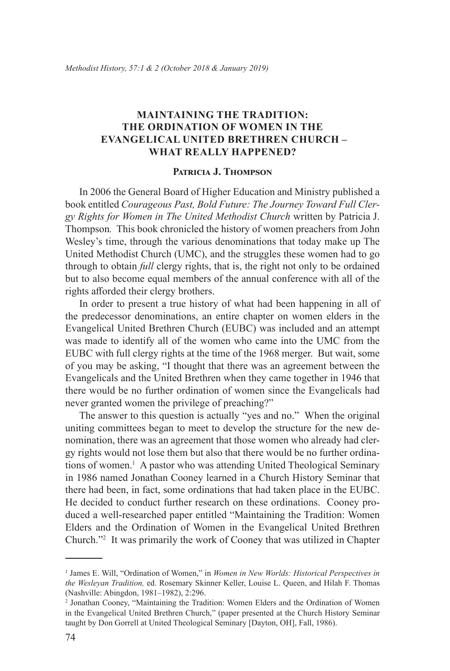## **Maintaining the Tradition: The Ordination of Women in the Evangelical United Brethren Church – What Really Happened?**

## **Patricia J. Thompson**

In 2006 the General Board of Higher Education and Ministry published a book entitled *Courageous Past, Bold Future: The Journey Toward Full Clergy Rights for Women in The United Methodist Church* written by Patricia J. Thompson*.* This book chronicled the history of women preachers from John Wesley's time, through the various denominations that today make up The United Methodist Church (UMC), and the struggles these women had to go through to obtain *full* clergy rights, that is, the right not only to be ordained but to also become equal members of the annual conference with all of the rights afforded their clergy brothers.

In order to present a true history of what had been happening in all of the predecessor denominations, an entire chapter on women elders in the Evangelical United Brethren Church (EUBC) was included and an attempt was made to identify all of the women who came into the UMC from the EUBC with full clergy rights at the time of the 1968 merger. But wait, some of you may be asking, "I thought that there was an agreement between the Evangelicals and the United Brethren when they came together in 1946 that there would be no further ordination of women since the Evangelicals had never granted women the privilege of preaching?"

The answer to this question is actually "yes and no." When the original uniting committees began to meet to develop the structure for the new denomination, there was an agreement that those women who already had clergy rights would not lose them but also that there would be no further ordinations of women.<sup>1</sup> A pastor who was attending United Theological Seminary in 1986 named Jonathan Cooney learned in a Church History Seminar that there had been, in fact, some ordinations that had taken place in the EUBC. He decided to conduct further research on these ordinations. Cooney produced a well-researched paper entitled "Maintaining the Tradition: Women Elders and the Ordination of Women in the Evangelical United Brethren Church."<sup>2</sup> It was primarily the work of Cooney that was utilized in Chapter

<sup>&</sup>lt;sup>1</sup> James E. Will, "Ordination of Women," in *Women in New Worlds: Historical Perspectives in the Wesleyan Tradition,* ed. Rosemary Skinner Keller, Louise L. Queen, and Hilah F. Thomas (Nashville: Abingdon, 1981–1982), 2:296.

<sup>2</sup> Jonathan Cooney, "Maintaining the Tradition: Women Elders and the Ordination of Women in the Evangelical United Brethren Church," (paper presented at the Church History Seminar taught by Don Gorrell at United Theological Seminary [Dayton, OH], Fall, 1986).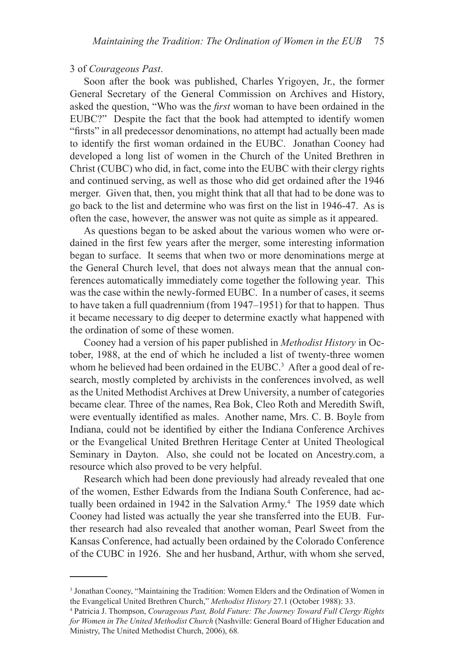## 3 of *Courageous Past*.

Soon after the book was published, Charles Yrigoyen, Jr., the former General Secretary of the General Commission on Archives and History, asked the question, "Who was the *first* woman to have been ordained in the EUBC?" Despite the fact that the book had attempted to identify women "firsts" in all predecessor denominations, no attempt had actually been made to identify the first woman ordained in the EUBC. Jonathan Cooney had developed a long list of women in the Church of the United Brethren in Christ (CUBC) who did, in fact, come into the EUBC with their clergy rights and continued serving, as well as those who did get ordained after the 1946 merger. Given that, then, you might think that all that had to be done was to go back to the list and determine who was first on the list in 1946-47. As is often the case, however, the answer was not quite as simple as it appeared.

As questions began to be asked about the various women who were ordained in the first few years after the merger, some interesting information began to surface. It seems that when two or more denominations merge at the General Church level, that does not always mean that the annual conferences automatically immediately come together the following year. This was the case within the newly-formed EUBC. In a number of cases, it seems to have taken a full quadrennium (from 1947–1951) for that to happen. Thus it became necessary to dig deeper to determine exactly what happened with the ordination of some of these women.

Cooney had a version of his paper published in *Methodist History* in October, 1988, at the end of which he included a list of twenty-three women whom he believed had been ordained in the EUBC.<sup>3</sup> After a good deal of research, mostly completed by archivists in the conferences involved, as well as the United Methodist Archives at Drew University, a number of categories became clear. Three of the names, Rea Bok, Cleo Roth and Meredith Swift, were eventually identified as males. Another name, Mrs. C. B. Boyle from Indiana, could not be identified by either the Indiana Conference Archives or the Evangelical United Brethren Heritage Center at United Theological Seminary in Dayton. Also, she could not be located on Ancestry.com, a resource which also proved to be very helpful.

Research which had been done previously had already revealed that one of the women, Esther Edwards from the Indiana South Conference, had actually been ordained in 1942 in the Salvation Army.<sup>4</sup> The 1959 date which Cooney had listed was actually the year she transferred into the EUB. Further research had also revealed that another woman, Pearl Sweet from the Kansas Conference, had actually been ordained by the Colorado Conference of the CUBC in 1926. She and her husband, Arthur, with whom she served,

<sup>&</sup>lt;sup>3</sup> Jonathan Cooney, "Maintaining the Tradition: Women Elders and the Ordination of Women in the Evangelical United Brethren Church," *Methodist History* 27.1 (October 1988): 33.

<sup>4</sup> Patricia J. Thompson, *Courageous Past, Bold Future: The Journey Toward Full Clergy Rights for Women in The United Methodist Church* (Nashville: General Board of Higher Education and Ministry, The United Methodist Church, 2006), 68*.*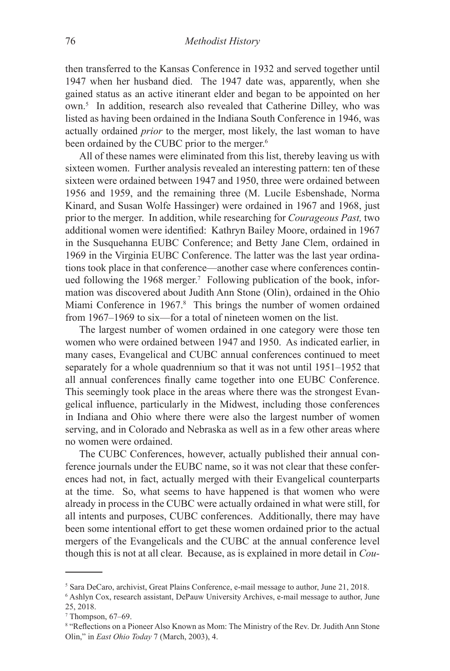then transferred to the Kansas Conference in 1932 and served together until 1947 when her husband died. The 1947 date was, apparently, when she gained status as an active itinerant elder and began to be appointed on her own.5 In addition, research also revealed that Catherine Dilley, who was listed as having been ordained in the Indiana South Conference in 1946, was actually ordained *prior* to the merger, most likely, the last woman to have been ordained by the CUBC prior to the merger.<sup>6</sup>

All of these names were eliminated from this list, thereby leaving us with sixteen women. Further analysis revealed an interesting pattern: ten of these sixteen were ordained between 1947 and 1950, three were ordained between 1956 and 1959, and the remaining three (M. Lucile Esbenshade, Norma Kinard, and Susan Wolfe Hassinger) were ordained in 1967 and 1968, just prior to the merger. In addition, while researching for *Courageous Past,* two additional women were identified: Kathryn Bailey Moore, ordained in 1967 in the Susquehanna EUBC Conference; and Betty Jane Clem, ordained in 1969 in the Virginia EUBC Conference. The latter was the last year ordinations took place in that conference—another case where conferences continued following the 1968 merger.<sup>7</sup> Following publication of the book, information was discovered about Judith Ann Stone (Olin), ordained in the Ohio Miami Conference in 1967.<sup>8</sup> This brings the number of women ordained from 1967–1969 to six—for a total of nineteen women on the list.

The largest number of women ordained in one category were those ten women who were ordained between 1947 and 1950. As indicated earlier, in many cases, Evangelical and CUBC annual conferences continued to meet separately for a whole quadrennium so that it was not until 1951–1952 that all annual conferences finally came together into one EUBC Conference. This seemingly took place in the areas where there was the strongest Evangelical influence, particularly in the Midwest, including those conferences in Indiana and Ohio where there were also the largest number of women serving, and in Colorado and Nebraska as well as in a few other areas where no women were ordained.

The CUBC Conferences, however, actually published their annual conference journals under the EUBC name, so it was not clear that these conferences had not, in fact, actually merged with their Evangelical counterparts at the time. So, what seems to have happened is that women who were already in process in the CUBC were actually ordained in what were still, for all intents and purposes, CUBC conferences. Additionally, there may have been some intentional effort to get these women ordained prior to the actual mergers of the Evangelicals and the CUBC at the annual conference level though this is not at all clear. Because, as is explained in more detail in *Cou-*

<sup>5</sup> Sara DeCaro, archivist, Great Plains Conference, e-mail message to author, June 21, 2018.

<sup>6</sup> Ashlyn Cox, research assistant, DePauw University Archives, e-mail message to author, June 25, 2018.

<sup>7</sup> Thompson, 67–69.

<sup>8</sup> "Reflections on a Pioneer Also Known as Mom: The Ministry of the Rev. Dr. Judith Ann Stone Olin," in *East Ohio Today* 7 (March, 2003), 4.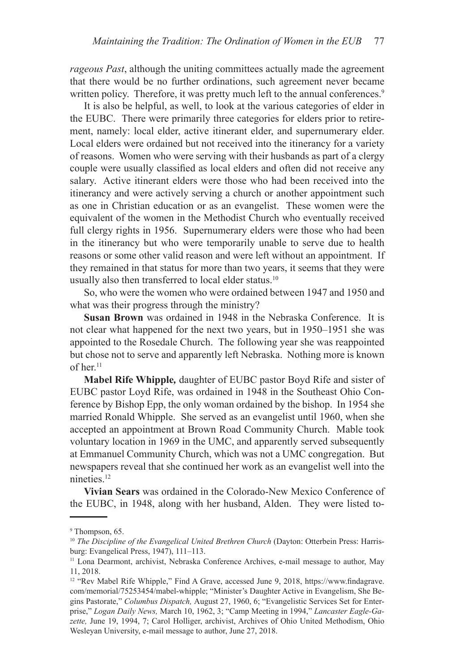*rageous Past*, although the uniting committees actually made the agreement that there would be no further ordinations, such agreement never became written policy. Therefore, it was pretty much left to the annual conferences.<sup>9</sup>

It is also be helpful, as well, to look at the various categories of elder in the EUBC. There were primarily three categories for elders prior to retirement, namely: local elder, active itinerant elder, and supernumerary elder. Local elders were ordained but not received into the itinerancy for a variety of reasons. Women who were serving with their husbands as part of a clergy couple were usually classified as local elders and often did not receive any salary. Active itinerant elders were those who had been received into the itinerancy and were actively serving a church or another appointment such as one in Christian education or as an evangelist. These women were the equivalent of the women in the Methodist Church who eventually received full clergy rights in 1956. Supernumerary elders were those who had been in the itinerancy but who were temporarily unable to serve due to health reasons or some other valid reason and were left without an appointment. If they remained in that status for more than two years, it seems that they were usually also then transferred to local elder status.<sup>10</sup>

So, who were the women who were ordained between 1947 and 1950 and what was their progress through the ministry?

**Susan Brown** was ordained in 1948 in the Nebraska Conference. It is not clear what happened for the next two years, but in 1950–1951 she was appointed to the Rosedale Church. The following year she was reappointed but chose not to serve and apparently left Nebraska. Nothing more is known of her.<sup>11</sup>

**Mabel Rife Whipple***,* daughter of EUBC pastor Boyd Rife and sister of EUBC pastor Loyd Rife, was ordained in 1948 in the Southeast Ohio Conference by Bishop Epp, the only woman ordained by the bishop. In 1954 she married Ronald Whipple. She served as an evangelist until 1960, when she accepted an appointment at Brown Road Community Church. Mable took voluntary location in 1969 in the UMC, and apparently served subsequently at Emmanuel Community Church, which was not a UMC congregation. But newspapers reveal that she continued her work as an evangelist well into the nineties.<sup>12</sup>

**Vivian Sears** was ordained in the Colorado-New Mexico Conference of the EUBC, in 1948, along with her husband, Alden. They were listed to-

<sup>9</sup> Thompson, 65.

<sup>&</sup>lt;sup>10</sup> *The Discipline of the Evangelical United Brethren Church* (Dayton: Otterbein Press: Harrisburg: Evangelical Press, 1947), 111–113.

<sup>11</sup> Lona Dearmont, archivist, Nebraska Conference Archives, e-mail message to author, May 11, 2018.

<sup>&</sup>lt;sup>12</sup> "Rev Mabel Rife Whipple," Find A Grave, accessed June 9, 2018, https://www.findagrave. com/memorial/75253454/mabel-whipple; "Minister's Daughter Active in Evangelism, She Begins Pastorate," *Columbus Dispatch,* August 27, 1960, 6; "Evangelistic Services Set for Enterprise," *Logan Daily News,* March 10, 1962, 3; "Camp Meeting in 1994," *Lancaster Eagle-Gazette,* June 19, 1994, 7; Carol Holliger, archivist, Archives of Ohio United Methodism, Ohio Wesleyan University, e-mail message to author, June 27, 2018.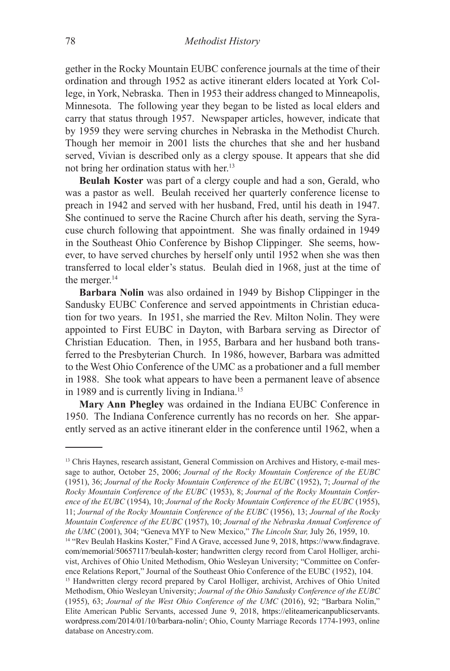gether in the Rocky Mountain EUBC conference journals at the time of their ordination and through 1952 as active itinerant elders located at York College, in York, Nebraska. Then in 1953 their address changed to Minneapolis, Minnesota. The following year they began to be listed as local elders and carry that status through 1957. Newspaper articles, however, indicate that by 1959 they were serving churches in Nebraska in the Methodist Church. Though her memoir in 2001 lists the churches that she and her husband served, Vivian is described only as a clergy spouse. It appears that she did not bring her ordination status with her.13

**Beulah Koster** was part of a clergy couple and had a son, Gerald, who was a pastor as well. Beulah received her quarterly conference license to preach in 1942 and served with her husband, Fred, until his death in 1947. She continued to serve the Racine Church after his death, serving the Syracuse church following that appointment. She was finally ordained in 1949 in the Southeast Ohio Conference by Bishop Clippinger. She seems, however, to have served churches by herself only until 1952 when she was then transferred to local elder's status. Beulah died in 1968, just at the time of the merger.<sup>14</sup>

**Barbara Nolin** was also ordained in 1949 by Bishop Clippinger in the Sandusky EUBC Conference and served appointments in Christian education for two years. In 1951, she married the Rev. Milton Nolin. They were appointed to First EUBC in Dayton, with Barbara serving as Director of Christian Education. Then, in 1955, Barbara and her husband both transferred to the Presbyterian Church. In 1986, however, Barbara was admitted to the West Ohio Conference of the UMC as a probationer and a full member in 1988. She took what appears to have been a permanent leave of absence in 1989 and is currently living in Indiana.<sup>15</sup>

**Mary Ann Phegley** was ordained in the Indiana EUBC Conference in 1950. The Indiana Conference currently has no records on her. She apparently served as an active itinerant elder in the conference until 1962, when a

<sup>&</sup>lt;sup>13</sup> Chris Haynes, research assistant, General Commission on Archives and History, e-mail message to author, October 25, 2006; *Journal of the Rocky Mountain Conference of the EUBC* (1951), 36; *Journal of the Rocky Mountain Conference of the EUBC* (1952), 7; *Journal of the Rocky Mountain Conference of the EUBC* (1953), 8; *Journal of the Rocky Mountain Conference of the EUBC* (1954), 10; *Journal of the Rocky Mountain Conference of the EUBC* (1955), 11; *Journal of the Rocky Mountain Conference of the EUBC* (1956), 13; *Journal of the Rocky Mountain Conference of the EUBC* (1957), 10; *Journal of the Nebraska Annual Conference of the UMC* (2001), 304; "Geneva MYF to New Mexico," *The Lincoln Star,* July 26, 1959, 10.

<sup>&</sup>lt;sup>14</sup> "Rev Beulah Haskins Koster," Find A Grave, accessed June 9, 2018, https://www.findagrave. com/memorial/50657117/beulah-koster; handwritten clergy record from Carol Holliger, archivist, Archives of Ohio United Methodism, Ohio Wesleyan University; "Committee on Conference Relations Report," Journal of the Southeast Ohio Conference of the EUBC (1952), 104.

<sup>15</sup> Handwritten clergy record prepared by Carol Holliger, archivist, Archives of Ohio United Methodism, Ohio Wesleyan University; *Journal of the Ohio Sandusky Conference of the EUBC*  (1955), 63; *Journal of the West Ohio Conference of the UMC* (2016), 92; "Barbara Nolin," Elite American Public Servants, accessed June 9, 2018, https://eliteamericanpublicservants. wordpress.com/2014/01/10/barbara-nolin/; Ohio, County Marriage Records 1774-1993, online database on Ancestry.com.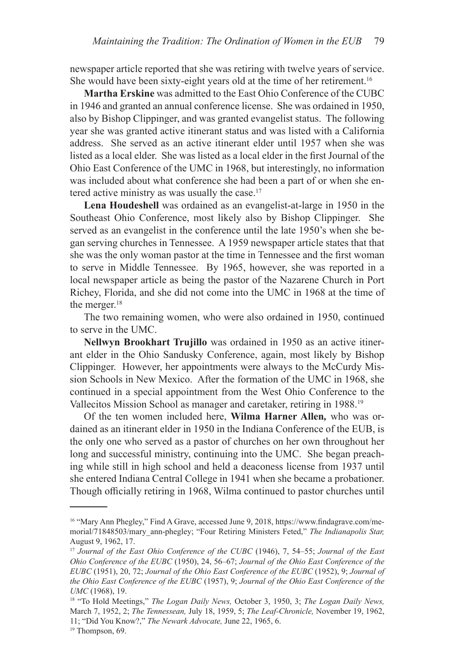newspaper article reported that she was retiring with twelve years of service. She would have been sixty-eight years old at the time of her retirement.<sup>16</sup>

**Martha Erskine** was admitted to the East Ohio Conference of the CUBC in 1946 and granted an annual conference license. She was ordained in 1950, also by Bishop Clippinger, and was granted evangelist status. The following year she was granted active itinerant status and was listed with a California address. She served as an active itinerant elder until 1957 when she was listed as a local elder. She was listed as a local elder in the first Journal of the Ohio East Conference of the UMC in 1968, but interestingly, no information was included about what conference she had been a part of or when she entered active ministry as was usually the case.<sup>17</sup>

**Lena Houdeshell** was ordained as an evangelist-at-large in 1950 in the Southeast Ohio Conference, most likely also by Bishop Clippinger. She served as an evangelist in the conference until the late 1950's when she began serving churches in Tennessee. A 1959 newspaper article states that that she was the only woman pastor at the time in Tennessee and the first woman to serve in Middle Tennessee. By 1965, however, she was reported in a local newspaper article as being the pastor of the Nazarene Church in Port Richey, Florida, and she did not come into the UMC in 1968 at the time of the merger.<sup>18</sup>

The two remaining women, who were also ordained in 1950, continued to serve in the UMC.

**Nellwyn Brookhart Trujillo** was ordained in 1950 as an active itinerant elder in the Ohio Sandusky Conference, again, most likely by Bishop Clippinger. However, her appointments were always to the McCurdy Mission Schools in New Mexico. After the formation of the UMC in 1968, she continued in a special appointment from the West Ohio Conference to the Vallecitos Mission School as manager and caretaker, retiring in 1988.<sup>19</sup>

Of the ten women included here, **Wilma Harner Allen***,* who was ordained as an itinerant elder in 1950 in the Indiana Conference of the EUB, is the only one who served as a pastor of churches on her own throughout her long and successful ministry, continuing into the UMC. She began preaching while still in high school and held a deaconess license from 1937 until she entered Indiana Central College in 1941 when she became a probationer. Though officially retiring in 1968, Wilma continued to pastor churches until

<sup>16</sup> "Mary Ann Phegley," Find A Grave, accessed June 9, 2018, https://www.findagrave.com/memorial/71848503/mary\_ann-phegley; "Four Retiring Ministers Feted," *The Indianapolis Star,*  August 9, 1962, 17.

<sup>17</sup> *Journal of the East Ohio Conference of the CUBC* (1946), 7, 54–55; *Journal of the East Ohio Conference of the EUBC* (1950), 24, 56–67; *Journal of the Ohio East Conference of the EUBC* (1951), 20, 72; *Journal of the Ohio East Conference of the EUBC* (1952), 9; *Journal of the Ohio East Conference of the EUBC* (1957), 9; *Journal of the Ohio East Conference of the UMC* (1968), 19.

<sup>18</sup> "To Hold Meetings," *The Logan Daily News,* October 3, 1950, 3; *The Logan Daily News,*  March 7, 1952, 2; *The Tennessean,* July 18, 1959, 5; *The Leaf-Chronicle,* November 19, 1962, 11; "Did You Know?," *The Newark Advocate,* June 22, 1965, 6.

<sup>&</sup>lt;sup>19</sup> Thompson, 69.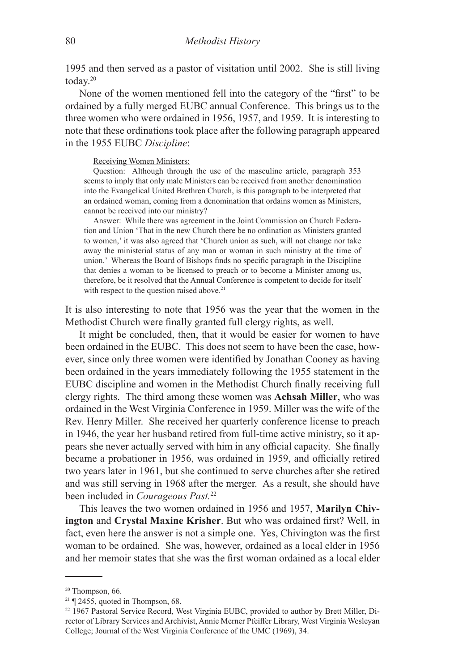1995 and then served as a pastor of visitation until 2002. She is still living today.<sup>20</sup>

None of the women mentioned fell into the category of the "first" to be ordained by a fully merged EUBC annual Conference. This brings us to the three women who were ordained in 1956, 1957, and 1959. It is interesting to note that these ordinations took place after the following paragraph appeared in the 1955 EUBC *Discipline*:

## Receiving Women Ministers:

Question: Although through the use of the masculine article, paragraph 353 seems to imply that only male Ministers can be received from another denomination into the Evangelical United Brethren Church, is this paragraph to be interpreted that an ordained woman, coming from a denomination that ordains women as Ministers, cannot be received into our ministry?

Answer: While there was agreement in the Joint Commission on Church Federation and Union 'That in the new Church there be no ordination as Ministers granted to women,' it was also agreed that 'Church union as such, will not change nor take away the ministerial status of any man or woman in such ministry at the time of union.' Whereas the Board of Bishops finds no specific paragraph in the Discipline that denies a woman to be licensed to preach or to become a Minister among us, therefore, be it resolved that the Annual Conference is competent to decide for itself with respect to the question raised above.<sup>21</sup>

It is also interesting to note that 1956 was the year that the women in the Methodist Church were finally granted full clergy rights, as well.

It might be concluded, then, that it would be easier for women to have been ordained in the EUBC. This does not seem to have been the case, however, since only three women were identified by Jonathan Cooney as having been ordained in the years immediately following the 1955 statement in the EUBC discipline and women in the Methodist Church finally receiving full clergy rights. The third among these women was **Achsah Miller**, who was ordained in the West Virginia Conference in 1959. Miller was the wife of the Rev. Henry Miller. She received her quarterly conference license to preach in 1946, the year her husband retired from full-time active ministry, so it appears she never actually served with him in any official capacity. She finally became a probationer in 1956, was ordained in 1959, and officially retired two years later in 1961, but she continued to serve churches after she retired and was still serving in 1968 after the merger. As a result, she should have been included in *Courageous Past.*<sup>22</sup>

This leaves the two women ordained in 1956 and 1957, **Marilyn Chivington** and **Crystal Maxine Krisher**. But who was ordained first? Well, in fact, even here the answer is not a simple one. Yes, Chivington was the first woman to be ordained. She was, however, ordained as a local elder in 1956 and her memoir states that she was the first woman ordained as a local elder

<sup>&</sup>lt;sup>20</sup> Thompson, 66.

 $21$  ¶ 2455, quoted in Thompson, 68.

<sup>&</sup>lt;sup>22</sup> 1967 Pastoral Service Record, West Virginia EUBC, provided to author by Brett Miller, Director of Library Services and Archivist, Annie Merner Pfeiffer Library, West Virginia Wesleyan College; Journal of the West Virginia Conference of the UMC (1969), 34.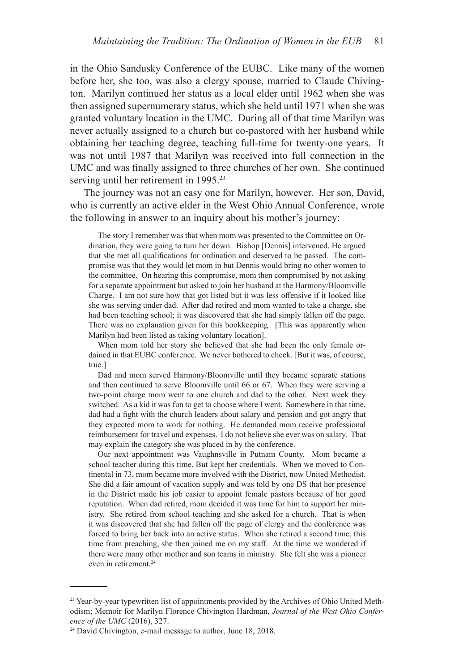in the Ohio Sandusky Conference of the EUBC. Like many of the women before her, she too, was also a clergy spouse, married to Claude Chivington. Marilyn continued her status as a local elder until 1962 when she was then assigned supernumerary status, which she held until 1971 when she was granted voluntary location in the UMC. During all of that time Marilyn was never actually assigned to a church but co-pastored with her husband while obtaining her teaching degree, teaching full-time for twenty-one years. It was not until 1987 that Marilyn was received into full connection in the UMC and was finally assigned to three churches of her own. She continued serving until her retirement in 1995.<sup>23</sup>

The journey was not an easy one for Marilyn, however. Her son, David, who is currently an active elder in the West Ohio Annual Conference, wrote the following in answer to an inquiry about his mother's journey:

The story I remember was that when mom was presented to the Committee on Ordination, they were going to turn her down. Bishop [Dennis] intervened. He argued that she met all qualifications for ordination and deserved to be passed. The compromise was that they would let mom in but Dennis would bring no other women to the committee. On hearing this compromise, mom then compromised by not asking for a separate appointment but asked to join her husband at the Harmony/Bloomville Charge. I am not sure how that got listed but it was less offensive if it looked like she was serving under dad. After dad retired and mom wanted to take a charge, she had been teaching school; it was discovered that she had simply fallen off the page. There was no explanation given for this bookkeeping. [This was apparently when Marilyn had been listed as taking voluntary location].

When mom told her story she believed that she had been the only female ordained in that EUBC conference. We never bothered to check. [But it was, of course, true.]

Dad and mom served Harmony/Bloomville until they became separate stations and then continued to serve Bloomville until 66 or 67. When they were serving a two-point charge mom went to one church and dad to the other. Next week they switched. As a kid it was fun to get to choose where I went. Somewhere in that time, dad had a fight with the church leaders about salary and pension and got angry that they expected mom to work for nothing. He demanded mom receive professional reimbursement for travel and expenses. I do not believe she ever was on salary. That may explain the category she was placed in by the conference.

Our next appointment was Vaughnsville in Putnam County. Mom became a school teacher during this time. But kept her credentials. When we moved to Continental in 73, mom became more involved with the District, now United Methodist. She did a fair amount of vacation supply and was told by one DS that her presence in the District made his job easier to appoint female pastors because of her good reputation. When dad retired, mom decided it was time for him to support her ministry. She retired from school teaching and she asked for a church. That is when it was discovered that she had fallen off the page of clergy and the conference was forced to bring her back into an active status. When she retired a second time, this time from preaching, she then joined me on my staff. At the time we wondered if there were many other mother and son teams in ministry. She felt she was a pioneer even in retirement.<sup>24</sup>

<sup>&</sup>lt;sup>23</sup> Year-by-year typewritten list of appointments provided by the Archives of Ohio United Methodism; Memoir for Marilyn Florence Chivington Hardman, *Journal of the West Ohio Conference of the UMC* (2016), 327.

<sup>&</sup>lt;sup>24</sup> David Chivington, e-mail message to author, June 18, 2018.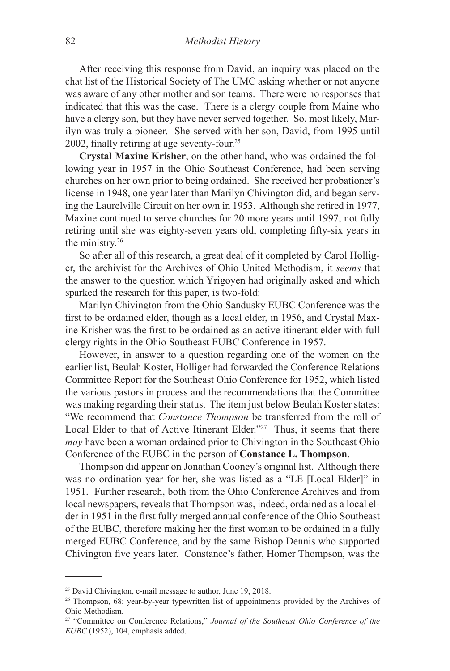After receiving this response from David, an inquiry was placed on the chat list of the Historical Society of The UMC asking whether or not anyone was aware of any other mother and son teams. There were no responses that indicated that this was the case. There is a clergy couple from Maine who have a clergy son, but they have never served together. So, most likely, Marilyn was truly a pioneer. She served with her son, David, from 1995 until 2002, finally retiring at age seventy-four.25

**Crystal Maxine Krisher**, on the other hand, who was ordained the following year in 1957 in the Ohio Southeast Conference, had been serving churches on her own prior to being ordained. She received her probationer's license in 1948, one year later than Marilyn Chivington did, and began serving the Laurelville Circuit on her own in 1953. Although she retired in 1977, Maxine continued to serve churches for 20 more years until 1997, not fully retiring until she was eighty-seven years old, completing fifty-six years in the ministry.<sup>26</sup>

So after all of this research, a great deal of it completed by Carol Holliger, the archivist for the Archives of Ohio United Methodism, it *seems* that the answer to the question which Yrigoyen had originally asked and which sparked the research for this paper, is two-fold:

Marilyn Chivington from the Ohio Sandusky EUBC Conference was the first to be ordained elder, though as a local elder, in 1956, and Crystal Maxine Krisher was the first to be ordained as an active itinerant elder with full clergy rights in the Ohio Southeast EUBC Conference in 1957.

However, in answer to a question regarding one of the women on the earlier list, Beulah Koster, Holliger had forwarded the Conference Relations Committee Report for the Southeast Ohio Conference for 1952, which listed the various pastors in process and the recommendations that the Committee was making regarding their status. The item just below Beulah Koster states: "We recommend that *Constance Thompson* be transferred from the roll of Local Elder to that of Active Itinerant Elder."<sup>27</sup> Thus, it seems that there *may* have been a woman ordained prior to Chivington in the Southeast Ohio Conference of the EUBC in the person of **Constance L. Thompson**.

Thompson did appear on Jonathan Cooney's original list. Although there was no ordination year for her, she was listed as a "LE [Local Elder]" in 1951. Further research, both from the Ohio Conference Archives and from local newspapers, reveals that Thompson was, indeed, ordained as a local elder in 1951 in the first fully merged annual conference of the Ohio Southeast of the EUBC, therefore making her the first woman to be ordained in a fully merged EUBC Conference, and by the same Bishop Dennis who supported Chivington five years later. Constance's father, Homer Thompson, was the

<sup>&</sup>lt;sup>25</sup> David Chivington, e-mail message to author, June 19, 2018.

<sup>26</sup> Thompson, 68; year-by-year typewritten list of appointments provided by the Archives of Ohio Methodism.

<sup>27 &</sup>quot;Committee on Conference Relations," *Journal of the Southeast Ohio Conference of the EUBC* (1952), 104, emphasis added.